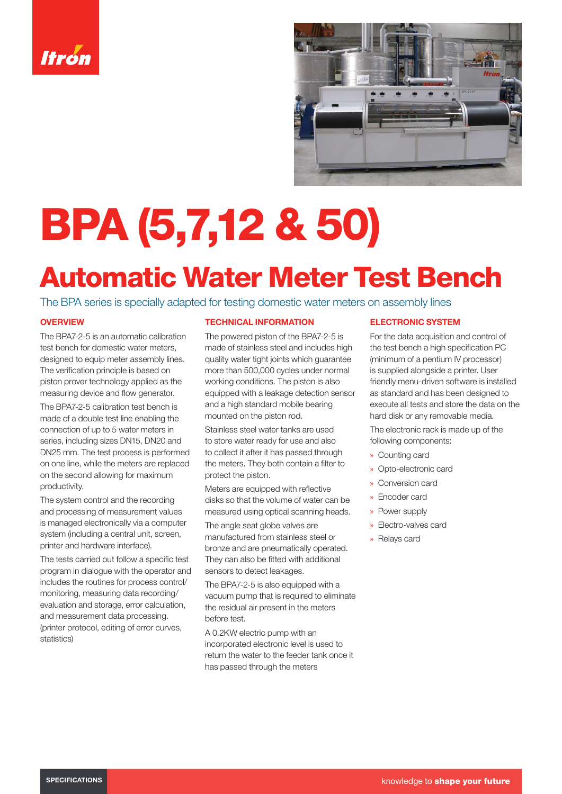



# BPA (5,7,12 & 50)

# Automatic Water Meter Test Bench

The BPA series is specially adapted for testing domestic water meters on assembly lines

# **OVERVIEW**

The BPA7-2-5 is an automatic calibration test bench for domestic water meters designed to equip meter assembly lines. The verification principle is based on piston prover technology applied as the measuring device and flow generator.

The BPA7-2-5 calibration test bench is made of a double test line enabling the connection of up to 5 water meters in series, including sizes DN15, DN20 and DN25 mm. The test process is performed on one line, while the meters are replaced on the second allowing for maximum productivity.

The system control and the recording and processing of measurement values is managed electronically via a computer system (including a central unit, screen, printer and hardware interface).

The tests carried out follow a specific test program in dialogue with the operator and includes the routines for process control/ monitoring, measuring data recording/ evaluation and storage, error calculation, and measurement data processing. (printer protocol, editing of error curves, statistics)

## TECHNICAL INFORMATION

The powered piston of the BPA7-2-5 is made of stainless steel and includes high quality water tight joints which guarantee more than 500,000 cycles under normal working conditions. The piston is also equipped with a leakage detection sensor and a high standard mobile bearing mounted on the piston rod.

Stainless steel water tanks are used to store water ready for use and also to collect it after it has passed through the meters. They both contain a filter to protect the piston.

Meters are equipped with reflective disks so that the volume of water can be measured using optical scanning heads.

The angle seat globe valves are manufactured from stainless steel or bronze and are pneumatically operated. They can also be fitted with additional sensors to detect leakages.

The BPA7-2-5 is also equipped with a vacuum pump that is required to eliminate the residual air present in the meters before test.

A 0.2KW electric pump with an incorporated electronic level is used to return the water to the feeder tank once it has passed through the meters

#### ELECTRONIC SYSTEM

For the data acquisition and control of the test bench a high specification PC (minimum of a pentium IV processor) is supplied alongside a printer. User friendly menu-driven software is installed as standard and has been designed to execute all tests and store the data on the hard disk or any removable media.

The electronic rack is made up of the following components:

- » Counting card
- » Opto-electronic card
- » Conversion card
- » Encoder card
- » Power supply
- » Electro-valves card
- » Relays card